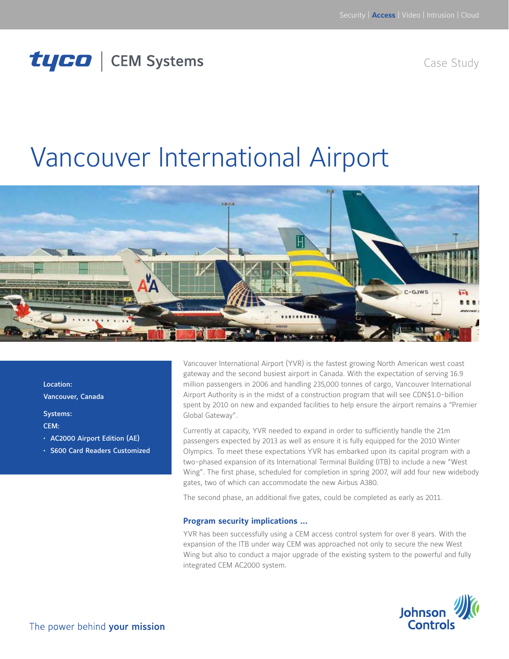## tyco | CEM Systems

Case Study

# Vancouver International Airport



Location: Vancouver, Canada

Systems:

CEM:

- • AC2000 Airport Edition (AE)
- • S600 Card Readers Customized

Vancouver International Airport (YVR) is the fastest growing North American west coast gateway and the second busiest airport in Canada. With the expectation of serving 16.9 million passengers in 2006 and handling 235,000 tonnes of cargo, Vancouver International Airport Authority is in the midst of a construction program that will see CDN\$1.0-billion spent by 2010 on new and expanded facilities to help ensure the airport remains a "Premier Global Gateway".

Currently at capacity, YVR needed to expand in order to sufficiently handle the 21m passengers expected by 2013 as well as ensure it is fully equipped for the 2010 Winter Olympics. To meet these expectations YVR has embarked upon its capital program with a two-phased expansion of its International Terminal Building (ITB) to include a new "West Wing". The first phase, scheduled for completion in spring 2007, will add four new widebody gates, two of which can accommodate the new Airbus A380.

The second phase, an additional five gates, could be completed as early as 2011.

#### **Program security implications …**

YVR has been successfully using a CEM access control system for over 8 years. With the expansion of the ITB under way CEM was approached not only to secure the new West Wing but also to conduct a major upgrade of the existing system to the powerful and fully integrated CEM AC2000 system.

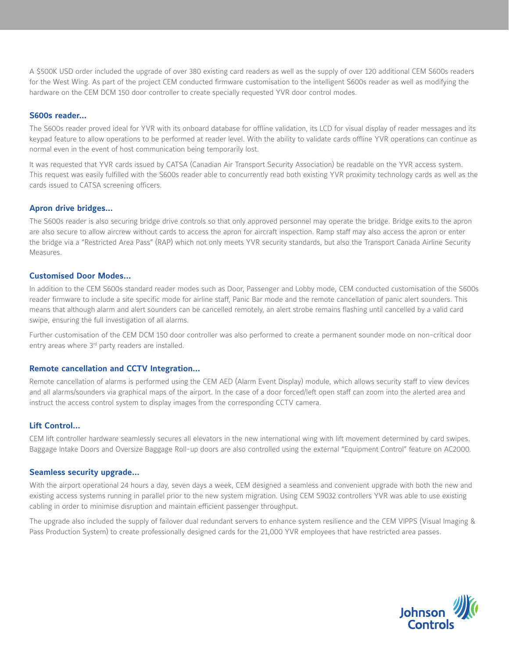A \$500K USD order included the upgrade of over 380 existing card readers as well as the supply of over 120 additional CEM S600s readers for the West Wing. As part of the project CEM conducted firmware customisation to the intelligent S600s reader as well as modifying the hardware on the CEM DCM 150 door controller to create specially requested YVR door control modes.

#### **S600s reader…**

The S600s reader proved ideal for YVR with its onboard database for offline validation, its LCD for visual display of reader messages and its keypad feature to allow operations to be performed at reader level. With the ability to validate cards offline YVR operations can continue as normal even in the event of host communication being temporarily lost.

It was requested that YVR cards issued by CATSA (Canadian Air Transport Security Association) be readable on the YVR access system. This request was easily fulfilled with the S600s reader able to concurrently read both existing YVR proximity technology cards as well as the cards issued to CATSA screening officers.

#### **Apron drive bridges…**

The S600s reader is also securing bridge drive controls so that only approved personnel may operate the bridge. Bridge exits to the apron are also secure to allow aircrew without cards to access the apron for aircraft inspection. Ramp staff may also access the apron or enter the bridge via a "Restricted Area Pass" (RAP) which not only meets YVR security standards, but also the Transport Canada Airline Security Measures.

#### **Customised Door Modes…**

In addition to the CEM S600s standard reader modes such as Door, Passenger and Lobby mode, CEM conducted customisation of the S600s reader firmware to include a site specific mode for airline staff, Panic Bar mode and the remote cancellation of panic alert sounders. This means that although alarm and alert sounders can be cancelled remotely, an alert strobe remains flashing until cancelled by a valid card swipe, ensuring the full investigation of all alarms.

Further customisation of the CEM DCM 150 door controller was also performed to create a permanent sounder mode on non-critical door entry areas where 3<sup>rd</sup> party readers are installed.

#### **Remote cancellation and CCTV Integration…**

Remote cancellation of alarms is performed using the CEM AED (Alarm Event Display) module, which allows security staff to view devices and all alarms/sounders via graphical maps of the airport. In the case of a door forced/left open staff can zoom into the alerted area and instruct the access control system to display images from the corresponding CCTV camera.

#### **Lift Control…**

CEM lift controller hardware seamlessly secures all elevators in the new international wing with lift movement determined by card swipes. Baggage Intake Doors and Oversize Baggage Roll-up doors are also controlled using the external "Equipment Control" feature on AC2000.

#### **Seamless security upgrade…**

With the airport operational 24 hours a day, seven days a week, CEM designed a seamless and convenient upgrade with both the new and existing access systems running in parallel prior to the new system migration. Using CEM S9032 controllers YVR was able to use existing cabling in order to minimise disruption and maintain efficient passenger throughput.

The upgrade also included the supply of failover dual redundant servers to enhance system resilience and the CEM VIPPS (Visual Imaging & Pass Production System) to create professionally designed cards for the 21,000 YVR employees that have restricted area passes.